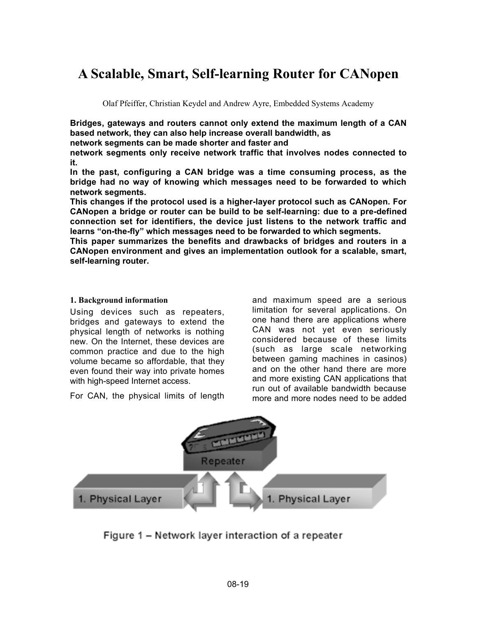# **A Scalable, Smart, Self-learning Router for CANopen**

Olaf Pfeiffer, Christian Keydel and Andrew Ayre, Embedded Systems Academy

**Bridges, gateways and routers cannot only extend the maximum length of a CAN based network, they can also help increase overall bandwidth, as**

**network segments can be made shorter and faster and**

**network segments only receive network traffic that involves nodes connected to it.**

**In the past, configuring a CAN bridge was a time consuming process, as the bridge had no way of knowing which messages need to be forwarded to which network segments.**

**This changes if the protocol used is a higher-layer protocol such as CANopen. For CANopen a bridge or router can be build to be self-learning: due to a pre-defined connection set for identifiers, the device just listens to the network traffic and learns "on-the-fly" which messages need to be forwarded to which segments.**

**This paper summarizes the benefits and drawbacks of bridges and routers in a CANopen environment and gives an implementation outlook for a scalable, smart, self-learning router.**

#### **1. Background information**

Using devices such as repeaters, bridges and gateways to extend the physical length of networks is nothing new. On the Internet, these devices are common practice and due to the high volume became so affordable, that they even found their way into private homes with high-speed Internet access.

For CAN, the physical limits of length

and maximum speed are a serious limitation for several applications. On one hand there are applications where CAN was not yet even seriously considered because of these limits (such as large scale networking between gaming machines in casinos) and on the other hand there are more and more existing CAN applications that run out of available bandwidth because more and more nodes need to be added



Figure 1 – Network layer interaction of a repeater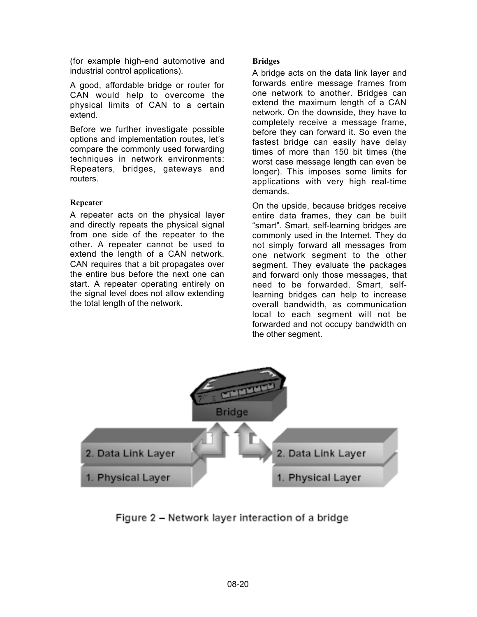(for example high-end automotive and industrial control applications).

A good, affordable bridge or router for CAN would help to overcome the physical limits of CAN to a certain extend.

Before we further investigate possible options and implementation routes, let's compare the commonly used forwarding techniques in network environments: Repeaters, bridges, gateways and routers.

## **Repeater**

A repeater acts on the physical layer and directly repeats the physical signal from one side of the repeater to the other. A repeater cannot be used to extend the length of a CAN network. CAN requires that a bit propagates over the entire bus before the next one can start. A repeater operating entirely on the signal level does not allow extending the total length of the network.

## **Bridges**

A bridge acts on the data link layer and forwards entire message frames from one network to another. Bridges can extend the maximum length of a CAN network. On the downside, they have to completely receive a message frame, before they can forward it. So even the fastest bridge can easily have delay times of more than 150 bit times (the worst case message length can even be longer). This imposes some limits for applications with very high real-time demands.

On the upside, because bridges receive entire data frames, they can be built "smart". Smart, self-learning bridges are commonly used in the Internet. They do not simply forward all messages from one network segment to the other segment. They evaluate the packages and forward only those messages, that need to be forwarded. Smart, selflearning bridges can help to increase overall bandwidth, as communication local to each segment will not be forwarded and not occupy bandwidth on the other segment.



Figure 2 – Network layer interaction of a bridge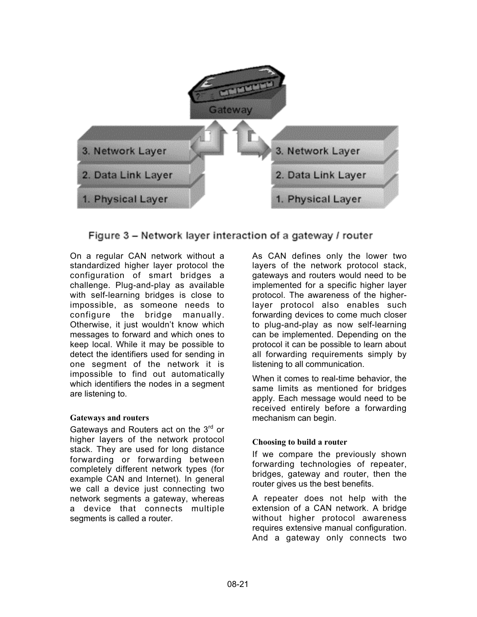

Figure 3 – Network layer interaction of a gateway / router

On a regular CAN network without a standardized higher layer protocol the configuration of smart bridges a challenge. Plug-and-play as available with self-learning bridges is close to impossible, as someone needs to configure the bridge manually. Otherwise, it just wouldn't know which messages to forward and which ones to keep local. While it may be possible to detect the identifiers used for sending in one segment of the network it is impossible to find out automatically which identifiers the nodes in a segment are listening to.

## **Gateways and routers**

Gateways and Routers act on the 3<sup>rd</sup> or higher layers of the network protocol stack. They are used for long distance forwarding or forwarding between completely different network types (for example CAN and Internet). In general we call a device just connecting two network segments a gateway, whereas a device that connects multiple segments is called a router.

As CAN defines only the lower two layers of the network protocol stack, gateways and routers would need to be implemented for a specific higher layer protocol. The awareness of the higherlayer protocol also enables such forwarding devices to come much closer to plug-and-play as now self-learning can be implemented. Depending on the protocol it can be possible to learn about all forwarding requirements simply by listening to all communication.

When it comes to real-time behavior, the same limits as mentioned for bridges apply. Each message would need to be received entirely before a forwarding mechanism can begin.

## **Choosing to build a router**

If we compare the previously shown forwarding technologies of repeater, bridges, gateway and router, then the router gives us the best benefits.

A repeater does not help with the extension of a CAN network. A bridge without higher protocol awareness requires extensive manual configuration. And a gateway only connects two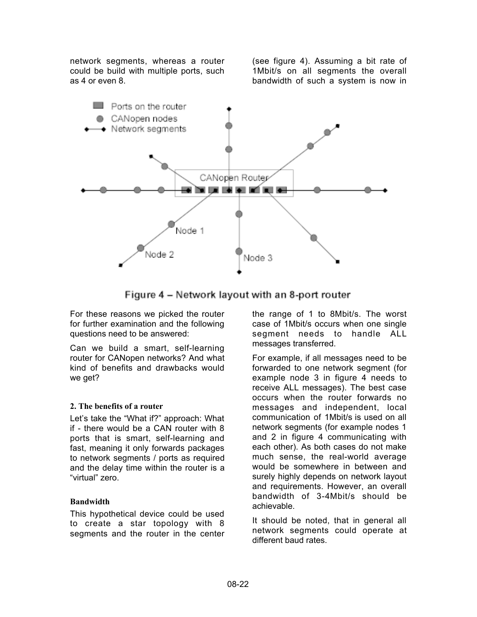network segments, whereas a router could be build with multiple ports, such as 4 or even 8.

(see figure 4). Assuming a bit rate of 1Mbit/s on all segments the overall bandwidth of such a system is now in



Figure 4 - Network layout with an 8-port router

For these reasons we picked the router for further examination and the following questions need to be answered:

Can we build a smart, self-learning router for CANopen networks? And what kind of benefits and drawbacks would we get?

## **2. The benefits of a router**

Let's take the "What if?" approach: What if - there would be a CAN router with 8 ports that is smart, self-learning and fast, meaning it only forwards packages to network segments / ports as required and the delay time within the router is a "virtual" zero.

#### **Bandwidth**

This hypothetical device could be used to create a star topology with 8 segments and the router in the center

the range of 1 to 8Mbit/s. The worst case of 1Mbit/s occurs when one single segment needs to handle ALL messages transferred.

For example, if all messages need to be forwarded to one network segment (for example node 3 in figure 4 needs to receive ALL messages). The best case occurs when the router forwards no messages and independent, local communication of 1Mbit/s is used on all network segments (for example nodes 1 and 2 in figure 4 communicating with each other). As both cases do not make much sense, the real-world average would be somewhere in between and surely highly depends on network layout and requirements. However, an overall bandwidth of 3-4Mbit/s should be achievable.

It should be noted, that in general all network segments could operate at different baud rates.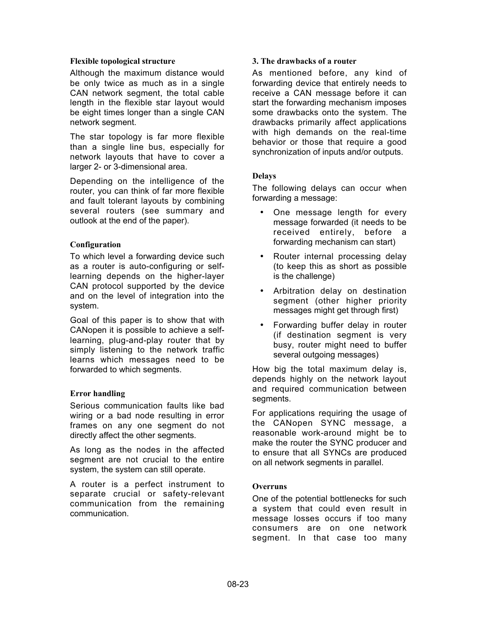#### **Flexible topological structure**

Although the maximum distance would be only twice as much as in a single CAN network segment, the total cable length in the flexible star layout would be eight times longer than a single CAN network segment.

The star topology is far more flexible than a single line bus, especially for network layouts that have to cover a larger 2- or 3-dimensional area.

Depending on the intelligence of the router, you can think of far more flexible and fault tolerant layouts by combining several routers (see summary and outlook at the end of the paper).

#### **Configuration**

To which level a forwarding device such as a router is auto-configuring or selflearning depends on the higher-layer CAN protocol supported by the device and on the level of integration into the system.

Goal of this paper is to show that with CANopen it is possible to achieve a selflearning, plug-and-play router that by simply listening to the network traffic learns which messages need to be forwarded to which segments.

#### **Error handling**

Serious communication faults like bad wiring or a bad node resulting in error frames on any one segment do not directly affect the other segments.

As long as the nodes in the affected segment are not crucial to the entire system, the system can still operate.

A router is a perfect instrument to separate crucial or safety-relevant communication from the remaining communication.

#### **3. The drawbacks of a router**

As mentioned before, any kind of forwarding device that entirely needs to receive a CAN message before it can start the forwarding mechanism imposes some drawbacks onto the system. The drawbacks primarily affect applications with high demands on the real-time behavior or those that require a good synchronization of inputs and/or outputs.

#### **Delays**

The following delays can occur when forwarding a message:

- One message length for every message forwarded (it needs to be received entirely, before a forwarding mechanism can start)
- Router internal processing delay (to keep this as short as possible is the challenge)
- Arbitration delay on destination segment (other higher priority messages might get through first)
- Forwarding buffer delay in router (if destination segment is very busy, router might need to buffer several outgoing messages)

How big the total maximum delay is, depends highly on the network layout and required communication between segments.

For applications requiring the usage of the CANopen SYNC message, a reasonable work-around might be to make the router the SYNC producer and to ensure that all SYNCs are produced on all network segments in parallel.

#### **Overruns**

One of the potential bottlenecks for such a system that could even result in message losses occurs if too many consumers are on one network segment. In that case too many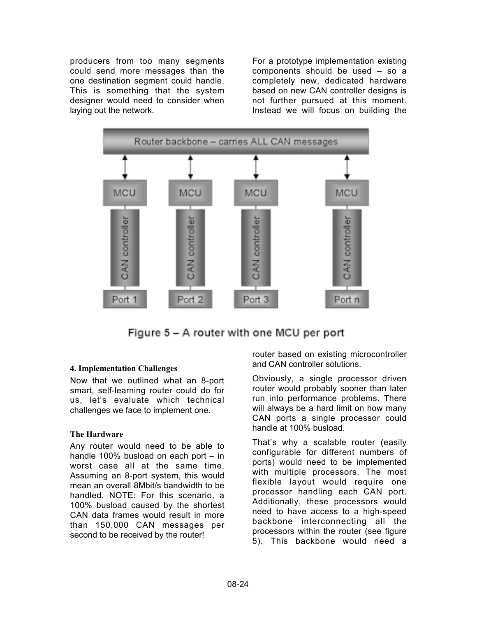producers from too many segments could send more messages than the one destination segment could handle. This is something that the system designer would need to consider when laying out the network.

For a prototype implementation existing components should be used – so a completely new, dedicated hardware based on new CAN controller designs is not further pursued at this moment. Instead we will focus on building the



Figure 5 – A router with one MCU per port

## **4. Implementation Challenges**

Now that we outlined what an 8-port smart, self-learning router could do for us, let's evaluate which technical challenges we face to implement one.

## **The Hardware**

Any router would need to be able to handle 100% busload on each port – in worst case all at the same time. Assuming an 8-port system, this would mean an overall 8Mbit/s bandwidth to be handled. NOTE: For this scenario, a 100% busload caused by the shortest CAN data frames would result in more than 150,000 CAN messages per second to be received by the router!

router based on existing microcontroller and CAN controller solutions.

Obviously, a single processor driven router would probably sooner than later run into performance problems. There will always be a hard limit on how many CAN ports a single processor could handle at 100% busload.

That's why a scalable router (easily configurable for different numbers of ports) would need to be implemented with multiple processors. The most flexible layout would require one processor handling each CAN port. Additionally, these processors would need to have access to a high-speed backbone interconnecting all the processors within the router (see figure 5). This backbone would need a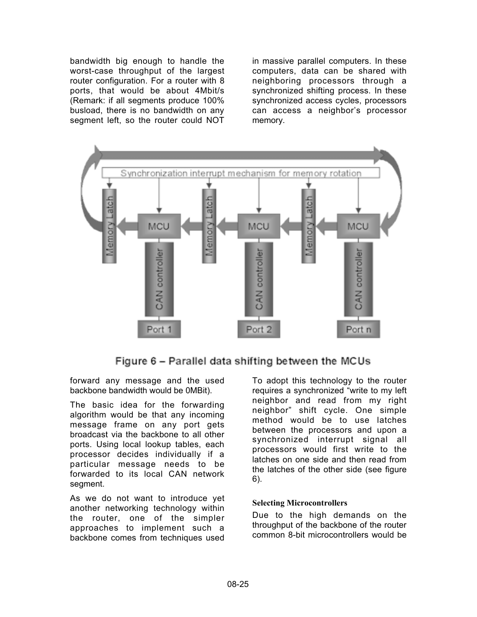bandwidth big enough to handle the worst-case throughput of the largest router configuration. For a router with 8 ports, that would be about 4Mbit/s (Remark: if all segments produce 100% busload, there is no bandwidth on any segment left, so the router could NOT

in massive parallel computers. In these computers, data can be shared with neighboring processors through a synchronized shifting process. In these synchronized access cycles, processors can access a neighbor's processor memory.



Figure 6 – Parallel data shifting between the MCUs

forward any message and the used backbone bandwidth would be 0MBit).

The basic idea for the forwarding algorithm would be that any incoming message frame on any port gets broadcast via the backbone to all other ports. Using local lookup tables, each processor decides individually if a particular message needs to be forwarded to its local CAN network segment.

As we do not want to introduce yet another networking technology within the router, one of the simpler approaches to implement such a backbone comes from techniques used To adopt this technology to the router requires a synchronized "write to my left neighbor and read from my right neighbor" shift cycle. One simple method would be to use latches between the processors and upon a synchronized interrupt signal all processors would first write to the latches on one side and then read from the latches of the other side (see figure 6).

## **Selecting Microcontrollers**

Due to the high demands on the throughput of the backbone of the router common 8-bit microcontrollers would be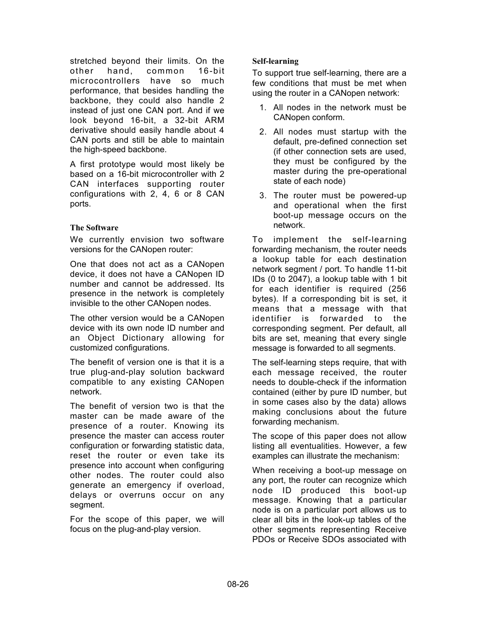stretched beyond their limits. On the other hand, common 16-bit microcontrollers have so much performance, that besides handling the backbone, they could also handle 2 instead of just one CAN port. And if we look beyond 16-bit, a 32-bit ARM derivative should easily handle about 4 CAN ports and still be able to maintain the high-speed backbone.

A first prototype would most likely be based on a 16-bit microcontroller with 2 CAN interfaces supporting router configurations with 2, 4, 6 or 8 CAN ports.

## **The Software**

We currently envision two software versions for the CANopen router:

One that does not act as a CANopen device, it does not have a CANopen ID number and cannot be addressed. Its presence in the network is completely invisible to the other CANopen nodes.

The other version would be a CANopen device with its own node ID number and an Object Dictionary allowing for customized configurations.

The benefit of version one is that it is a true plug-and-play solution backward compatible to any existing CANopen network.

The benefit of version two is that the master can be made aware of the presence of a router. Knowing its presence the master can access router configuration or forwarding statistic data, reset the router or even take its presence into account when configuring other nodes. The router could also generate an emergency if overload, delays or overruns occur on any segment.

For the scope of this paper, we will focus on the plug-and-play version.

## **Self-learning**

To support true self-learning, there are a few conditions that must be met when using the router in a CANopen network:

- 1. All nodes in the network must be CANopen conform.
- 2. All nodes must startup with the default, pre-defined connection set (if other connection sets are used, they must be configured by the master during the pre-operational state of each node)
- 3. The router must be powered-up and operational when the first boot-up message occurs on the network.

To implement the self-learning forwarding mechanism, the router needs a lookup table for each destination network segment / port. To handle 11-bit IDs (0 to 2047), a lookup table with 1 bit for each identifier is required (256 bytes). If a corresponding bit is set, it means that a message with that identifier is forwarded to the corresponding segment. Per default, all bits are set, meaning that every single message is forwarded to all segments.

The self-learning steps require, that with each message received, the router needs to double-check if the information contained (either by pure ID number, but in some cases also by the data) allows making conclusions about the future forwarding mechanism.

The scope of this paper does not allow listing all eventualities. However, a few examples can illustrate the mechanism:

When receiving a boot-up message on any port, the router can recognize which node ID produced this boot-up message. Knowing that a particular node is on a particular port allows us to clear all bits in the look-up tables of the other segments representing Receive PDOs or Receive SDOs associated with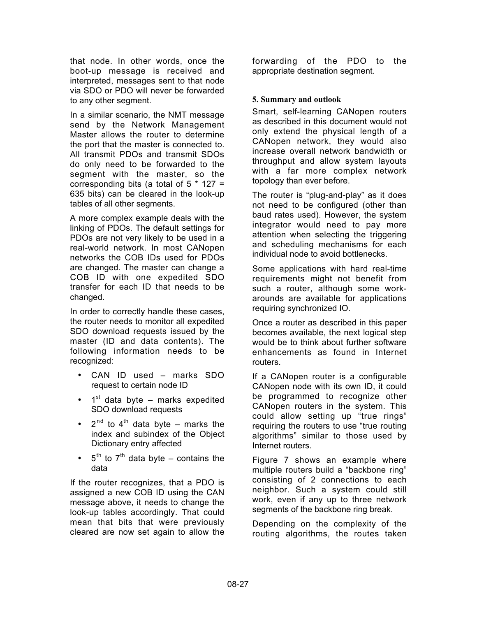that node. In other words, once the boot-up message is received and interpreted, messages sent to that node via SDO or PDO will never be forwarded to any other segment.

In a similar scenario, the NMT message send by the Network Management Master allows the router to determine the port that the master is connected to. All transmit PDOs and transmit SDOs do only need to be forwarded to the segment with the master, so the corresponding bits (a total of  $5 * 127 =$ 635 bits) can be cleared in the look-up tables of all other segments.

A more complex example deals with the linking of PDOs. The default settings for PDOs are not very likely to be used in a real-world network. In most CANopen networks the COB IDs used for PDOs are changed. The master can change a COB ID with one expedited SDO transfer for each ID that needs to be changed.

In order to correctly handle these cases, the router needs to monitor all expedited SDO download requests issued by the master (ID and data contents). The following information needs to be recognized:

- CAN ID used marks SDO request to certain node ID
- $\bullet$  1<sup>st</sup> data byte marks expedited SDO download requests
- $2^{nd}$  to 4<sup>th</sup> data byte marks the index and subindex of the Object Dictionary entry affected
- $5<sup>th</sup>$  to  $7<sup>th</sup>$  data byte contains the data

If the router recognizes, that a PDO is assigned a new COB ID using the CAN message above, it needs to change the look-up tables accordingly. That could mean that bits that were previously cleared are now set again to allow the forwarding of the PDO to the appropriate destination segment.

## **5. Summary and outlook**

Smart, self-learning CANopen routers as described in this document would not only extend the physical length of a CANopen network, they would also increase overall network bandwidth or throughput and allow system layouts with a far more complex network topology than ever before.

The router is "plug-and-play" as it does not need to be configured (other than baud rates used). However, the system integrator would need to pay more attention when selecting the triggering and scheduling mechanisms for each individual node to avoid bottlenecks.

Some applications with hard real-time requirements might not benefit from such a router, although some workarounds are available for applications requiring synchronized IO.

Once a router as described in this paper becomes available, the next logical step would be to think about further software enhancements as found in Internet routers.

If a CANopen router is a configurable CANopen node with its own ID, it could be programmed to recognize other CANopen routers in the system. This could allow setting up "true rings" requiring the routers to use "true routing algorithms" similar to those used by Internet routers.

Figure 7 shows an example where multiple routers build a "backbone ring" consisting of 2 connections to each neighbor. Such a system could still work, even if any up to three network segments of the backbone ring break.

Depending on the complexity of the routing algorithms, the routes taken